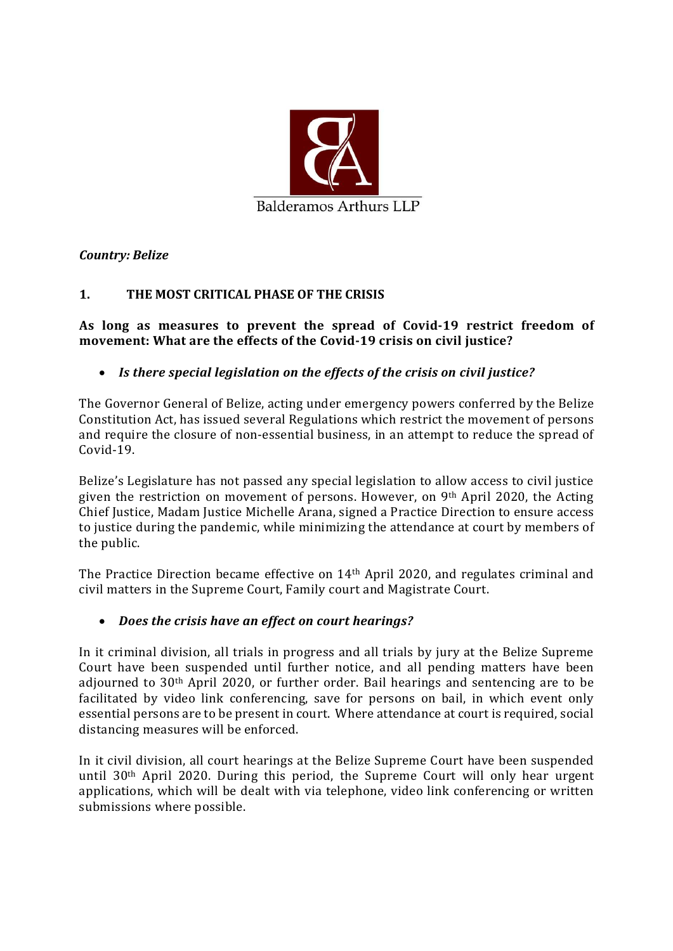

Country: Belize

# 1. THE MOST CRITICAL PHASE OF THE CRISIS

As long as measures to prevent the spread of Covid-19 restrict freedom of movement: What are the effects of the Covid-19 crisis on civil justice?

### • Is there special legislation on the effects of the crisis on civil justice?

The Governor General of Belize, acting under emergency powers conferred by the Belize Constitution Act, has issued several Regulations which restrict the movement of persons and require the closure of non-essential business, in an attempt to reduce the spread of Covid-19.

Belize's Legislature has not passed any special legislation to allow access to civil justice given the restriction on movement of persons. However, on 9th April 2020, the Acting Chief Justice, Madam Justice Michelle Arana, signed a Practice Direction to ensure access to justice during the pandemic, while minimizing the attendance at court by members of the public.

The Practice Direction became effective on 14th April 2020, and regulates criminal and civil matters in the Supreme Court, Family court and Magistrate Court.

#### Does the crisis have an effect on court hearings?

In it criminal division, all trials in progress and all trials by jury at the Belize Supreme Court have been suspended until further notice, and all pending matters have been adjourned to 30th April 2020, or further order. Bail hearings and sentencing are to be facilitated by video link conferencing, save for persons on bail, in which event only essential persons are to be present in court. Where attendance at court is required, social distancing measures will be enforced.

In it civil division, all court hearings at the Belize Supreme Court have been suspended until 30th April 2020. During this period, the Supreme Court will only hear urgent applications, which will be dealt with via telephone, video link conferencing or written submissions where possible.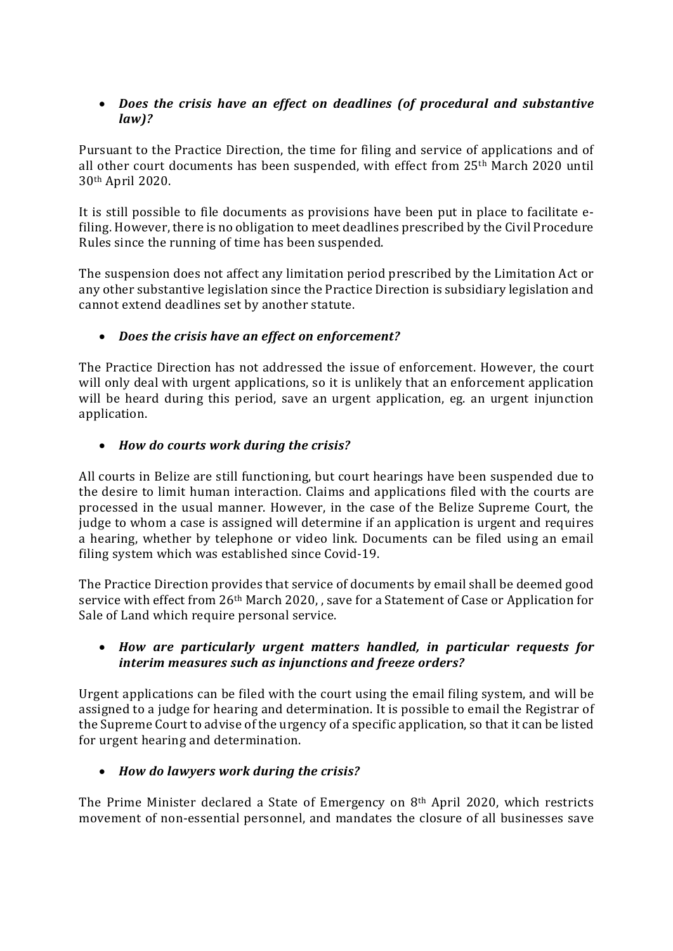### Does the crisis have an effect on deadlines (of procedural and substantive law)?

Pursuant to the Practice Direction, the time for filing and service of applications and of all other court documents has been suspended, with effect from 25th March 2020 until 30th April 2020.

It is still possible to file documents as provisions have been put in place to facilitate efiling. However, there is no obligation to meet deadlines prescribed by the Civil Procedure Rules since the running of time has been suspended.

The suspension does not affect any limitation period prescribed by the Limitation Act or any other substantive legislation since the Practice Direction is subsidiary legislation and cannot extend deadlines set by another statute.

# Does the crisis have an effect on enforcement?

The Practice Direction has not addressed the issue of enforcement. However, the court will only deal with urgent applications, so it is unlikely that an enforcement application will be heard during this period, save an urgent application, eg. an urgent injunction application.

# • How do courts work during the crisis?

All courts in Belize are still functioning, but court hearings have been suspended due to the desire to limit human interaction. Claims and applications filed with the courts are processed in the usual manner. However, in the case of the Belize Supreme Court, the judge to whom a case is assigned will determine if an application is urgent and requires a hearing, whether by telephone or video link. Documents can be filed using an email filing system which was established since Covid-19.

The Practice Direction provides that service of documents by email shall be deemed good service with effect from 26th March 2020, , save for a Statement of Case or Application for Sale of Land which require personal service.

# How are particularly urgent matters handled, in particular requests for interim measures such as injunctions and freeze orders?

Urgent applications can be filed with the court using the email filing system, and will be assigned to a judge for hearing and determination. It is possible to email the Registrar of the Supreme Court to advise of the urgency of a specific application, so that it can be listed for urgent hearing and determination.

# • How do lawyers work during the crisis?

The Prime Minister declared a State of Emergency on 8th April 2020, which restricts movement of non-essential personnel, and mandates the closure of all businesses save